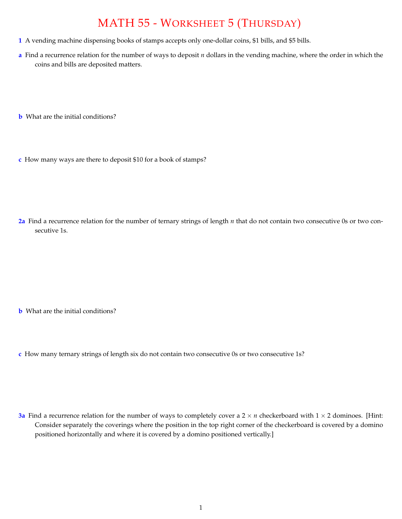## MATH 55 - WORKSHEET 5 (THURSDAY)

- **1** A vending machine dispensing books of stamps accepts only one-dollar coins, \$1 bills, and \$5 bills.
- **a** Find a recurrence relation for the number of ways to deposit *n* dollars in the vending machine, where the order in which the coins and bills are deposited matters.
- **b** What are the initial conditions?
- **c** How many ways are there to deposit \$10 for a book of stamps?

**2a** Find a recurrence relation for the number of ternary strings of length *n* that do not contain two consecutive 0s or two consecutive 1s.

- **b** What are the initial conditions?
- **c** How many ternary strings of length six do not contain two consecutive 0s or two consecutive 1s?

**3a** Find a recurrence relation for the number of ways to completely cover a  $2 \times n$  checkerboard with  $1 \times 2$  dominoes. [Hint: Consider separately the coverings where the position in the top right corner of the checkerboard is covered by a domino positioned horizontally and where it is covered by a domino positioned vertically.]